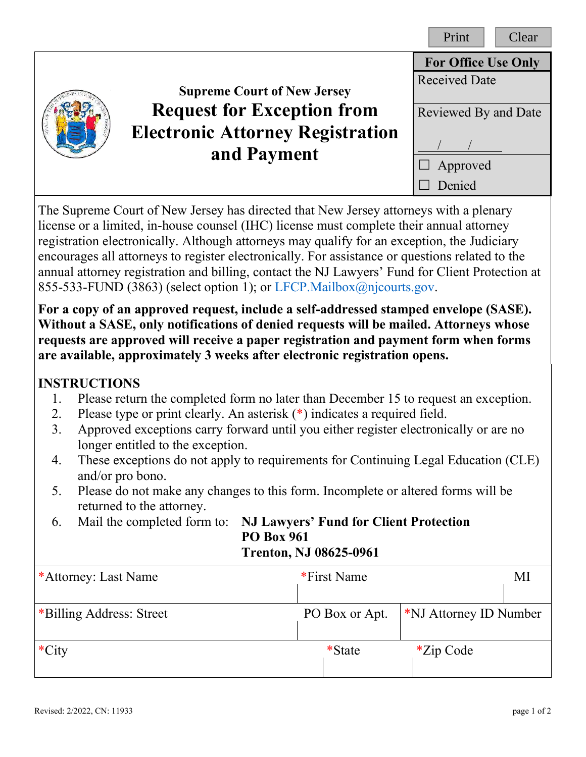|  |                                                                                             | Print<br>Clear             |
|--|---------------------------------------------------------------------------------------------|----------------------------|
|  |                                                                                             | <b>For Office Use Only</b> |
|  | <b>Supreme Court of New Jersey</b>                                                          | <b>Received Date</b>       |
|  | <b>Request for Exception from</b><br><b>Electronic Attorney Registration</b><br>and Payment | Reviewed By and Date       |
|  |                                                                                             | Approved<br>Denied         |

The Supreme Court of New Jersey has directed that New Jersey attorneys with a plenary license or a limited, in-house counsel (IHC) license must complete their annual attorney registration electronically. Although attorneys may qualify for an exception, the Judiciary encourages all attorneys to register electronically. For assistance or questions related to the annual attorney registration and billing, contact the NJ Lawyers' Fund for Client Protection at 855-533-FUND (3863) (select option 1); o[r LFCP.Mailbox@njcourts.gov.](mailto:LFCP.Mailbox@njcourts.gov?subject=Assistance%20with%20Exception%20Request)

**For a copy of an approved request, include a self-addressed stamped envelope (SASE). Without a SASE, only notifications of denied requests will be mailed. Attorneys whose requests are approved will receive a paper registration and payment form when forms are available, approximately 3 weeks after electronic registration opens.**

## **INSTRUCTIONS**

- 1. Please return the completed form no later than December 15 to request an exception.
- 2. Please type or print clearly. An asterisk (\*) indicates a required field.
- 3. Approved exceptions carry forward until you either register electronically or are no longer entitled to the exception.
- 4. These exceptions do not apply to requirements for Continuing Legal Education (CLE) and/or pro bono.
- 5. Please do not make any changes to this form. Incomplete or altered forms will be returned to the attorney.
- 6. Mail the completed form to: **NJ Lawyers' Fund for Client Protection PO Box 961 Trenton, NJ 08625-0961**

| *Attorney: Last Name     | *First Name    |                                    | MI |
|--------------------------|----------------|------------------------------------|----|
| *Billing Address: Street | PO Box or Apt. | <sup>*</sup> NJ Attorney ID Number |    |
| $\cdot$ City             | *State         | $*$ Zip Code                       |    |